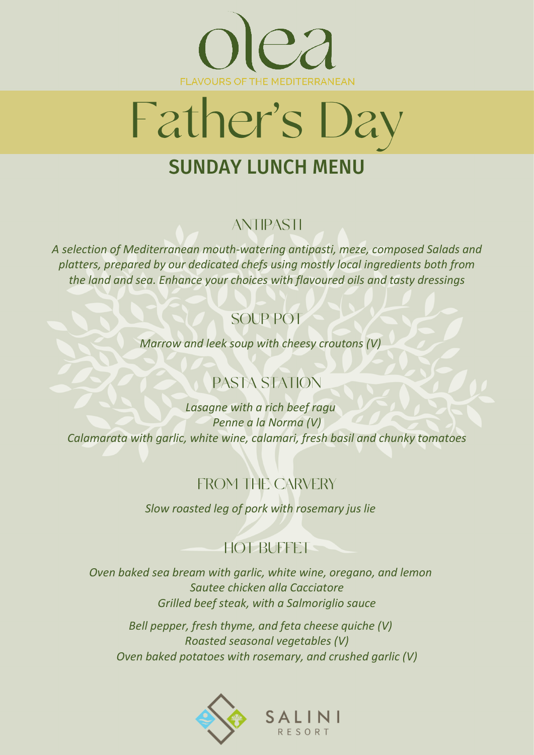



# **SUNDAY LUNCH MENU**

#### **ANTIPASTI**

*A selection of Mediterranean mouth-watering antipasti, meze, composed Salads and platters, prepared by our dedicated chefs using mostly local ingredients both from the land and sea. Enhance your choices with flavoured oils and tasty dressings*

#### **SOUP POT**

*Marrow and leek soup with cheesy croutons (V)*

## PASTA STATION

*Lasagne with a rich beef ragu Penne a la Norma (V) Calamarata with garlic, white wine, calamari, fresh basil and chunky tomatoes*

### **FROM THE CARVERY**

*Slow roasted leg of pork with rosemary jus lie*

### **HOT BUFFET**

*Oven baked sea bream with garlic, white wine, oregano, and lemon Sautee chicken alla Cacciatore Grilled beef steak, with a Salmoriglio sauce*

*Bell pepper, fresh thyme, and feta cheese quiche (V) Roasted seasonal vegetables (V) Oven baked potatoes with rosemary, and crushed garlic (V)*